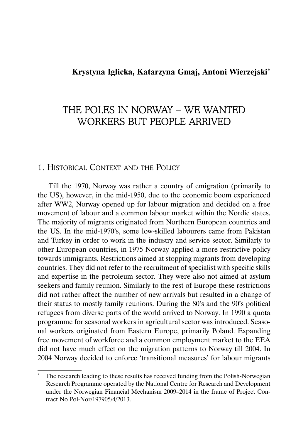## **Krystyna Iglicka, Katarzyna Gmaj, Antoni Wierzejski\***

# THE POLES IN NORWAY – WE WANTED WORKERS BUT PEOPLE ARRIVED

## 1. HISTORICAL CONTEXT AND THE POLICY

Till the 1970, Norway was rather a country of emigration (primarily to the US), however, in the mid-1950, due to the economic boom experienced after WW2, Norway opened up for labour migration and decided on a free movement of labour and a common labour market within the Nordic states. The majority of migrants originated from Northern European countries and the US. In the mid-1970's, some low-skilled labourers came from Pakistan and Turkey in order to work in the industry and service sector. Similarly to other European countries, in 1975 Norway applied a more restrictive policy towards immigrants. Restrictions aimed at stopping migrants from developing countries. They did not refer to the recruitment of specialist with specific skills and expertise in the petroleum sector. They were also not aimed at asylum seekers and family reunion. Similarly to the rest of Europe these restrictions did not rather affect the number of new arrivals but resulted in a change of their status to mostly family reunions. During the 80's and the 90's political refugees from diverse parts of the world arrived to Norway. In 1990 a quota programme for seasonal workers in agricultural sector was introduced. Seasonal workers originated from Eastern Europe, primarily Poland. Expanding free movement of workforce and a common employment market to the EEA did not have much effect on the migration patterns to Norway till 2004. In 2004 Norway decided to enforce 'transitional measures' for labour migrants

The research leading to these results has received funding from the Polish-Norwegian Research Programme operated by the National Centre for Research and Development under the Norwegian Financial Mechanism 2009–2014 in the frame of Project Contract No Pol-Nor/197905/4/2013.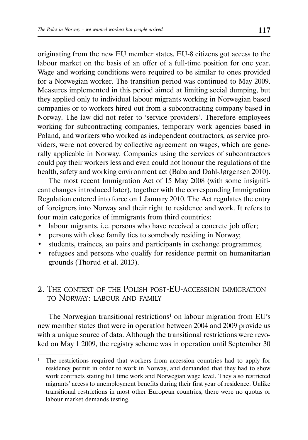originating from the new EU member states. EU-8 citizens got access to the labour market on the basis of an offer of a full-time position for one year. Wage and working conditions were required to be similar to ones provided for a Norwegian worker. The transition period was continued to May 2009. Measures implemented in this period aimed at limiting social dumping, but they applied only to individual labour migrants working in Norwegian based companies or to workers hired out from a subcontracting company based in Norway. The law did not refer to 'service providers'. Therefore employees working for subcontracting companies, temporary work agencies based in Poland, and workers who worked as independent contractors, as service providers, were not covered by collective agreement on wages, which are generally applicable in Norway. Companies using the services of subcontractors could pay their workers less and even could not honour the regulations of the health, safety and working environment act (Baba and Dahl-Jørgensen 2010).

The most recent Immigration Act of 15 May 2008 (with some insignificant changes introduced later), together with the corresponding Immigration Regulation entered into force on 1 January 2010. The Act regulates the entry of foreigners into Norway and their right to residence and work. It refers to four main categories of immigrants from third countries:

- labour migrants, i.e. persons who have received a concrete job offer;
- persons with close family ties to somebody residing in Norway;
- students, trainees, au pairs and participants in exchange programmes;
- refugees and persons who qualify for residence permit on humanitarian grounds (Thorud et al. 2013).

## 2. THE CONTEXT OF THE POLISH POST-EU-ACCESSION IMMIGRATION TO NORWAY: LABOUR AND FAMILY

The Norwegian transitional restrictions<sup>1</sup> on labour migration from EU's new member states that were in operation between 2004 and 2009 provide us with a unique source of data. Although the transitional restrictions were revoked on May 1 2009, the registry scheme was in operation until September 30

<sup>&</sup>lt;sup>1</sup> The restrictions required that workers from accession countries had to apply for residency permit in order to work in Norway, and demanded that they had to show work contracts stating full time work and Norwegian wage level. They also restricted migrants' access to unemployment benefits during their first year of residence. Unlike transitional restrictions in most other European countries, there were no quotas or labour market demands testing.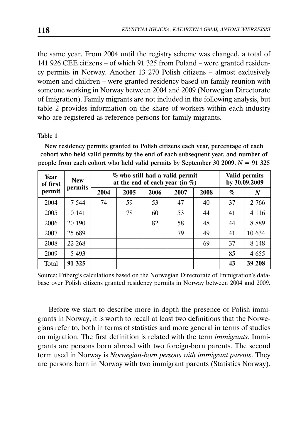the same year. From 2004 until the registry scheme was changed, a total of 141 926 CEE citizens – of which 91 325 from Poland – were granted residency permits in Norway. Another 13 270 Polish citizens – almost exclusively women and children – were granted residency based on family reunion with someone working in Norway between 2004 and 2009 (Norwegian Directorate of Imigration). Family migrants are not included in the following analysis, but table 2 provides information on the share of workers within each industry who are registered as reference persons for family migrants.

### Table 1

New residency permits granted to Polish citizens each year, percentage of each cohort who held valid permits by the end of each subsequent year, and number of people from each cohort who held valid permits by September 30 2009.  $N = 91$  325

| Year<br>of first | <b>New</b> | % who still had a valid permit<br>at the end of each year (in $\%$ ) | Valid permits<br>by 30.09.2009 |      |      |      |      |         |
|------------------|------------|----------------------------------------------------------------------|--------------------------------|------|------|------|------|---------|
| permit           | permits    | 2004                                                                 | 2005                           | 2006 | 2007 | 2008 | $\%$ | N       |
| 2004             | 7 5 4 4    | 74                                                                   | 59                             | 53   | 47   | 40   | 37   | 2 766   |
| 2005             | 10 141     |                                                                      | 78                             | 60   | 53   | 44   | 41   | 4 1 1 6 |
| 2006             | 20 190     |                                                                      |                                | 82   | 58   | 48   | 44   | 8889    |
| 2007             | 25 689     |                                                                      |                                |      | 79   | 49   | 41   | 10 634  |
| 2008             | 22 268     |                                                                      |                                |      |      | 69   | 37   | 8 1 4 8 |
| 2009             | 5 4 9 3    |                                                                      |                                |      |      |      | 85   | 4 6 5 5 |
| Total            | 91 325     |                                                                      |                                |      |      |      | 43   | 39 208  |

Source: Friberg's calculations based on the Norwegian Directorate of Immigration's database over Polish citizens granted residency permits in Norway between 2004 and 2009.

Before we start to describe more in-depth the presence of Polish immigrants in Norway, it is worth to recall at least two definitions that the Norwegians refer to, both in terms of statistics and more general in terms of studies on migration. The first definition is related with the term *immigrants*. Immigrants are persons born abroad with two foreign-born parents. The second term used in Norway is *Norwegian-born persons with immigrant parents*. They are persons born in Norway with two immigrant parents (Statistics Norway).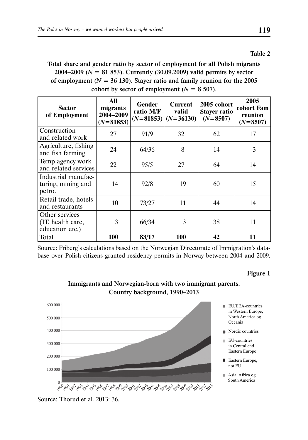#### Table 2

Total share and gender ratio by sector of employment for all Polish migrants 2004–2009 (*N* = 81 853). Currently (30.09.2009) valid permits by sector of employment ( $N = 36$  130). Stayer ratio and family reunion for the 2005 cohort by sector of employment  $(N = 8, 507)$ .

| Sector<br>of Employment                                | All<br>migrants<br>2004-2009<br>$(N=81853)$ | Gender<br>ratio M/F | <b>Current</b><br>valid<br>$(N=81853)$ $(N=36130)$ | 2005 cohort<br>Stayer ratio<br>$(N=8507)$ | 2005<br>cohort Fam<br>reunion<br>$(N=8507)$ |
|--------------------------------------------------------|---------------------------------------------|---------------------|----------------------------------------------------|-------------------------------------------|---------------------------------------------|
| Construction<br>and related work                       | 27                                          | 91/9                | 32                                                 | 62                                        | 17                                          |
| Agriculture, fishing<br>and fish farming               | 24                                          | 64/36               | 8                                                  | 14                                        | 3                                           |
| Temp agency work<br>and related services               | 22                                          | 95/5                | 27                                                 | 64                                        | 14                                          |
| Industrial manufac-<br>turing, mining and<br>petro.    | 14                                          | 92/8                | 19                                                 | 60                                        | 15                                          |
| Retail trade, hotels<br>and restaurants                | 10                                          | 73/27               | 11                                                 | 44                                        | 14                                          |
| Other services<br>(IT, health care,<br>education etc.) | 3                                           | 66/34               | 3                                                  | 38                                        | 11                                          |
| Total                                                  | 100                                         | 83/17               | <b>100</b>                                         | 42                                        | 11                                          |

Source: Friberg's calculations based on the Norwegian Directorate of Immigration's database over Polish citizens granted residency permits in Norway between 2004 and 2009.

Figure 1



### Immigrants and Norwegian-born with two immigrant parents. Country background, 1990–2013

Source: Thorud et al. 2013: 36.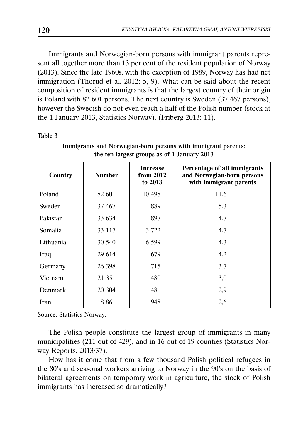Immigrants and Norwegian-born persons with immigrant parents represent all together more than 13 per cent of the resident population of Norway (2013). Since the late 1960s, with the exception of 1989, Norway has had net immigration (Thorud et al. 2012: 5, 9). What can be said about the recent composition of resident immigrants is that the largest country of their origin is Poland with 82 601 persons. The next country is Sweden (37 467 persons), however the Swedish do not even reach a half of the Polish number (stock at the 1 January 2013, Statistics Norway). (Friberg 2013: 11).

Table 3

| Country   | <b>Number</b> | <b>Increase</b><br>from 2012<br>to 2013 | Percentage of all immigrants<br>and Norwegian-born persons<br>with immigrant parents |
|-----------|---------------|-----------------------------------------|--------------------------------------------------------------------------------------|
| Poland    | 82 601        | 10 498                                  | 11,6                                                                                 |
| Sweden    | 37 467        | 889                                     | 5,3                                                                                  |
| Pakistan  | 33 634        | 897                                     | 4,7                                                                                  |
| Somalia   | 33 117        | 3 7 2 2                                 | 4,7                                                                                  |
| Lithuania | 30 540        | 6 5 9 9                                 | 4,3                                                                                  |
| Iraq      | 29 614        | 679                                     | 4,2                                                                                  |
| Germany   | 26 398        | 715                                     | 3,7                                                                                  |
| Vietnam   | 21 351        | 480                                     | 3,0                                                                                  |
| Denmark   | 20 304        | 481                                     | 2,9                                                                                  |
| Iran      | 18 861        | 948                                     | 2,6                                                                                  |

Immigrants and Norwegian-born persons with immigrant parents: the ten largest groups as of 1 January 2013

Source: Statistics Norway.

The Polish people constitute the largest group of immigrants in many municipalities (211 out of 429), and in 16 out of 19 counties (Statistics Norway Reports. 2013/37).

How has it come that from a few thousand Polish political refugees in the 80's and seasonal workers arriving to Norway in the 90's on the basis of bilateral agreements on temporary work in agriculture, the stock of Polish immigrants has increased so dramatically?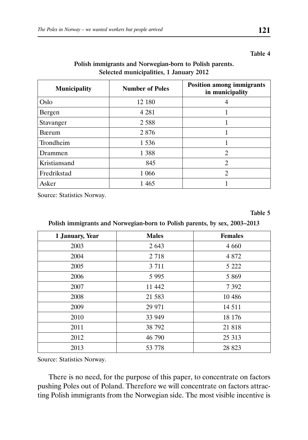#### Table 4

## Polish immigrants and Norwegian-born to Polish parents. Selected municipalities, 1 January 2012

| <b>Municipality</b> | <b>Number of Poles</b> | <b>Position among immigrants</b><br>in municipality |
|---------------------|------------------------|-----------------------------------------------------|
| Oslo                | 12 180                 | 4                                                   |
| Bergen              | 4 2 8 1                |                                                     |
| Stavanger           | 2 5 8 8                |                                                     |
| <b>B</b> ærum       | 2 8 7 6                | 1                                                   |
| Trondheim           | 1 5 3 6                |                                                     |
| Drammen             | 1 3 8 8                | $\overline{c}$                                      |
| Kristiansand        | 845                    | $\overline{c}$                                      |
| Fredrikstad         | 1 0 6 6                | $\overline{2}$                                      |
| Asker               | 1 4 6 5                |                                                     |

Source: Statistics Norway.

Table 5

### Polish immigrants and Norwegian-born to Polish parents, by sex, 2003–2013

| 1 January, Year | <b>Males</b> | <b>Females</b> |
|-----------------|--------------|----------------|
| 2003            | 2 6 4 3      | 4 6 6 0        |
| 2004            | 2 7 18       | 4 8 7 2        |
| 2005            | 3 7 1 1      | 5 2 2 2        |
| 2006            | 5 9 9 5      | 5 8 6 9        |
| 2007            | 11 442       | 7 3 9 2        |
| 2008            | 21 583       | 10 4 8 6       |
| 2009            | 29 971       | 14 5 11        |
| 2010            | 33 949       | 18 176         |
| 2011            | 38 792       | 21 818         |
| 2012            | 46 790       | 25 313         |
| 2013            | 53 778       | 28 823         |

Source: Statistics Norway.

There is no need, for the purpose of this paper, to concentrate on factors pushing Poles out of Poland. Therefore we will concentrate on factors attracting Polish immigrants from the Norwegian side. The most visible incentive is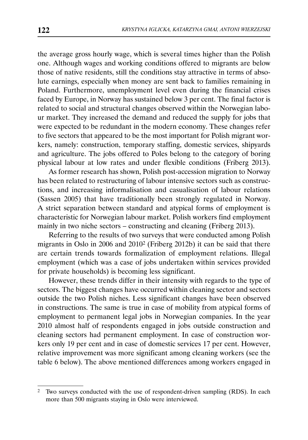the average gross hourly wage, which is several times higher than the Polish one. Although wages and working conditions offered to migrants are below those of native residents, still the conditions stay attractive in terms of absolute earnings, especially when money are sent back to families remaining in Poland. Furthermore, unemployment level even during the financial crises faced by Europe, in Norway has sustained below 3 per cent. The final factor is related to social and structural changes observed within the Norwegian labour market. They increased the demand and reduced the supply for jobs that were expected to be redundant in the modern economy. These changes refer to five sectors that appeared to be the most important for Polish migrant workers, namely: construction, temporary staffing, domestic services, shipyards and agriculture. The jobs offered to Poles belong to the category of boring physical labour at low rates and under flexible conditions (Friberg 2013).

As former research has shown, Polish post-accession migration to Norway has been related to restructuring of labour intensive sectors such as constructions, and increasing informalisation and casualisation of labour relations (Sassen 2005) that have traditionally been strongly regulated in Norway. A strict separation between standard and atypical forms of employment is characteristic for Norwegian labour market. Polish workers find employment mainly in two niche sectors – constructing and cleaning (Friberg 2013).

Referring to the results of two surveys that were conducted among Polish migrants in Oslo in 2006 and 20102 (Friberg 2012b) it can be said that there are certain trends towards formalization of employment relations. Illegal employment (which was a case of jobs undertaken within services provided for private households) is becoming less significant.

However, these trends differ in their intensity with regards to the type of sectors. The biggest changes have occurred within cleaning sector and sectors outside the two Polish niches. Less significant changes have been observed in constructions. The same is true in case of mobility from atypical forms of employment to permanent legal jobs in Norwegian companies. In the year 2010 almost half of respondents engaged in jobs outside construction and cleaning sectors had permanent employment. In case of construction workers only 19 per cent and in case of domestic services 17 per cent. However, relative improvement was more significant among cleaning workers (see the table 6 below). The above mentioned differences among workers engaged in

<sup>2</sup> Two surveys conducted with the use of respondent-driven sampling (RDS). In each more than 500 migrants staying in Oslo were interviewed.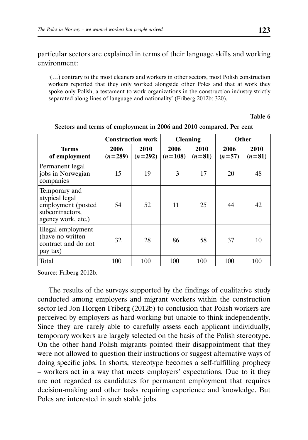particular sectors are explained in terms of their language skills and working environment:

'(…) contrary to the most cleaners and workers in other sectors, most Polish construction workers reported that they only worked alongside other Poles and that at work they spoke only Polish, a testament to work organizations in the construction industry strictly separated along lines of language and nationality' (Friberg 2012b: 320).

#### Table 6

|                                                                                                |                   | <b>Construction work</b> |                   | <b>Cleaning</b>  | Other            |                  |  |
|------------------------------------------------------------------------------------------------|-------------------|--------------------------|-------------------|------------------|------------------|------------------|--|
| <b>Terms</b><br>of employment                                                                  | 2006<br>$(n=289)$ | 2010<br>$(n=292)$        | 2006<br>$(n=108)$ | 2010<br>$(n=81)$ | 2006<br>$(n=57)$ | 2010<br>$(n=81)$ |  |
| Permanent legal<br>jobs in Norwegian<br>companies                                              | 15                | 19                       | 3                 | 17               | 20               | 48               |  |
| Temporary and<br>atypical legal<br>employment (posted<br>subcontractors,<br>agency work, etc.) | 54                | 52                       | 11                | 25               | 44               | 42               |  |
| Illegal employment<br>(have no written<br>contract and do not<br>pay tax)                      | 32                | 28                       | 86                | 58               | 37               | 10               |  |
| Total                                                                                          | 100               | 100                      | 100               | 100              | 100              | 100              |  |

Sectors and terms of employment in 2006 and 2010 compared. Per cent

Source: Friberg 2012b.

The results of the surveys supported by the findings of qualitative study conducted among employers and migrant workers within the construction sector led Jon Horgen Friberg (2012b) to conclusion that Polish workers are perceived by employers as hard-working but unable to think independently. Since they are rarely able to carefully assess each applicant individually, temporary workers are largely selected on the basis of the Polish stereotype. On the other hand Polish migrants pointed their disappointment that they were not allowed to question their instructions or suggest alternative ways of doing specific jobs. In shorts, stereotype becomes a self-fulfilling prophecy – workers act in a way that meets employers' expectations. Due to it they are not regarded as candidates for permanent employment that requires decision-making and other tasks requiring experience and knowledge. But Poles are interested in such stable jobs.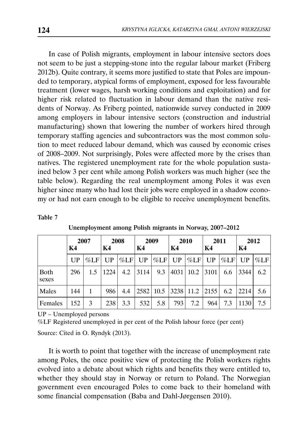In case of Polish migrants, employment in labour intensive sectors does not seem to be just a stepping-stone into the regular labour market (Friberg 2012b). Quite contrary, it seems more justified to state that Poles are impounded to temporary, atypical forms of employment, exposed for less favourable treatment (lower wages, harsh working conditions and exploitation) and for higher risk related to fluctuation in labour demand than the native residents of Norway. As Friberg pointed, nationwide survey conducted in 2009 among employers in labour intensive sectors (construction and industrial manufacturing) shown that lowering the number of workers hired through temporary staffing agencies and subcontractors was the most common solution to meet reduced labour demand, which was caused by economic crises of 2008–2009. Not surprisingly, Poles were affected more by the crises than natives. The registered unemployment rate for the whole population sustained below 3 per cent while among Polish workers was much higher (see the table below). Regarding the real unemployment among Poles it was even higher since many who had lost their jobs were employed in a shadow economy or had not earn enough to be eligible to receive unemployment benefits.

### Table 7

|               | 2007<br>Κ4 |         | K4   |         | 2008 |         | 2009<br>K4 |         | 2010<br>K4 |         | 2011<br>K4 |         | 2012<br>K4 |  |
|---------------|------------|---------|------|---------|------|---------|------------|---------|------------|---------|------------|---------|------------|--|
|               | UP         | $\%$ LF | UP   | $\%$ LF | UP   | $\%$ LF | UP         | $\%$ LF | UP         | $\%$ LF | UP         | $\%$ LF |            |  |
| Both<br>sexes | 296        | 1.5     | 1224 | 4.2     | 3114 | 9.3     | 4031       | 10.2    | 3101       | 6.6     | 3344       | 6.2     |            |  |
| Males         | 144        | 1       | 986  | 4.4     | 2582 | 10.5    | 3238 11.2  |         | 2155       | 6.2     | 2214       | 5.6     |            |  |
| Females       | 152        | 3       | 238  | 3.3     | 532  | 5.8     | 793        | 7.2     | 964        | 7.3     | 1130       | 7.5     |            |  |

Unemployment among Polish migrants in Norway, 2007–2012

UP – Unemployed persons

%LF Registered unemployed in per cent of the Polish labour force (per cent)

Source: Cited in O. Ryndyk (2013).

It is worth to point that together with the increase of unemployment rate among Poles, the once positive view of protecting the Polish workers rights evolved into a debate about which rights and benefits they were entitled to, whether they should stay in Norway or return to Poland. The Norwegian government even encouraged Poles to come back to their homeland with some financial compensation (Baba and Dahl-Jørgensen 2010).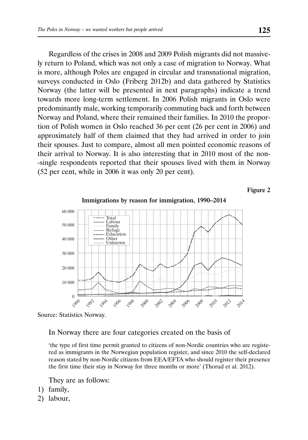Regardless of the crises in 2008 and 2009 Polish migrants did not massively return to Poland, which was not only a case of migration to Norway. What is more, although Poles are engaged in circular and transnational migration, surveys conducted in Oslo (Friberg 2012b) and data gathered by Statistics Norway (the latter will be presented in next paragraphs) indicate a trend towards more long-term settlement. In 2006 Polish migrants in Oslo were predominantly male, working temporarily commuting back and forth between Norway and Poland, where their remained their families. In 2010 the proportion of Polish women in Oslo reached 36 per cent (26 per cent in 2006) and approximately half of them claimed that they had arrived in order to join their spouses. Just to compare, almost all men pointed economic reasons of their arrival to Norway. It is also interesting that in 2010 most of the non- -single respondents reported that their spouses lived with them in Norway (52 per cent, while in 2006 it was only 20 per cent).

Figure 2





### In Norway there are four categories created on the basis of

'the type of first time permit granted to citizens of non-Nordic countries who are registered as immigrants in the Norwegian population register, and since 2010 the self-declared reason stated by non-Nordic citizens from EEA/EFTA who should register their presence the first time their stay in Norway for three months or more' (Thorud et al. 2012).

They are as follows:

- 1) family,
- 2) labour,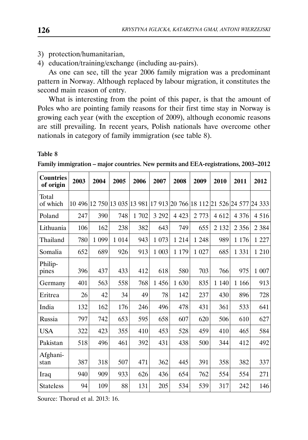3) protection/humanitarian,

4) education/training/exchange (including au-pairs).

As one can see, till the year 2006 family migration was a predominant pattern in Norway. Although replaced by labour migration, it constitutes the second main reason of entry.

What is interesting from the point of this paper, is that the amount of Poles who are pointing family reasons for their first time stay in Norway is growing each year (with the exception of 2009), although economic reasons are still prevailing. In recent years, Polish nationals have overcome other nationals in category of family immigration (see table 8).

#### Table 8

| <b>Countries</b><br>of origin | 2003 | 2004                                                                  | 2005    | 2006 | 2007    | 2008    | 2009    | 2010    | 2011    | 2012    |
|-------------------------------|------|-----------------------------------------------------------------------|---------|------|---------|---------|---------|---------|---------|---------|
| Total<br>of which             |      | 10 496 12 750 13 035 13 981 17 913 20 766 18 112 21 526 24 577 24 333 |         |      |         |         |         |         |         |         |
| Poland                        | 247  | 390                                                                   | 748     | 1702 | 3 2 9 2 | 4 4 2 3 | 2 7 7 3 | 4 6 12  | 4 3 7 6 | 4 5 1 6 |
| Lithuania                     | 106  | 162                                                                   | 238     | 382  | 643     | 749     | 655     | 2 1 3 2 | 2 3 5 6 | 2 3 8 4 |
| Thailand                      | 780  | 1 0 9 9                                                               | 1 0 1 4 | 943  | 1 0 7 3 | 1 2 1 4 | 1 2 4 8 | 989     | 1 1 7 6 | 1 2 2 7 |
| Somalia                       | 652  | 689                                                                   | 926     | 913  | 1 003   | 1 1 7 9 | 1 0 27  | 685     | 1 3 3 1 | 1 2 1 0 |
| Philip-<br>pines              | 396  | 437                                                                   | 433     | 412  | 618     | 580     | 703     | 766     | 975     | 1 007   |
| Germany                       | 401  | 563                                                                   | 558     | 768  | 1 4 5 6 | 1 630   | 835     | 1 1 4 0 | 1 1 6 6 | 913     |
| Eritrea                       | 26   | 42                                                                    | 34      | 49   | 78      | 142     | 237     | 430     | 896     | 728     |
| India                         | 132  | 162                                                                   | 176     | 246  | 496     | 478     | 431     | 361     | 533     | 641     |
| Russia                        | 797  | 742                                                                   | 653     | 595  | 658     | 607     | 620     | 506     | 610     | 627     |
| <b>USA</b>                    | 322  | 423                                                                   | 355     | 410  | 453     | 528     | 459     | 410     | 465     | 584     |
| Pakistan                      | 518  | 496                                                                   | 461     | 392  | 431     | 438     | 500     | 344     | 412     | 492     |
| Afghani-<br>stan              | 387  | 318                                                                   | 507     | 471  | 362     | 445     | 391     | 358     | 382     | 337     |
| Iraq                          | 940  | 909                                                                   | 933     | 626  | 436     | 654     | 762     | 554     | 554     | 271     |
| <b>Stateless</b>              | 94   | 109                                                                   | 88      | 131  | 205     | 534     | 539     | 317     | 242     | 146     |

Family immigration – major countries. New permits and EEA-registrations, 2003–2012

Source: Thorud et al. 2013: 16.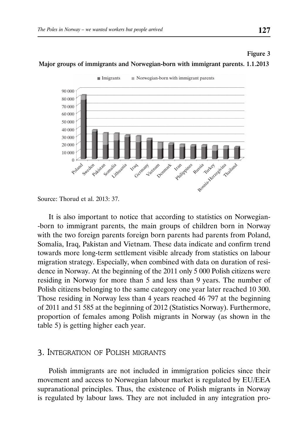

#### Major groups of immigrants and Norwegian-born with immigrant parents. 1.1.2013

It is also important to notice that according to statistics on Norwegian- -born to immigrant parents, the main groups of children born in Norway with the two foreign parents foreign born parents had parents from Poland, Somalia, Iraq, Pakistan and Vietnam. These data indicate and confirm trend towards more long-term settlement visible already from statistics on labour migration strategy. Especially, when combined with data on duration of residence in Norway. At the beginning of the 2011 only 5 000 Polish citizens were residing in Norway for more than 5 and less than 9 years. The number of Polish citizens belonging to the same category one year later reached 10 300. Those residing in Norway less than 4 years reached 46 797 at the beginning of 2011 and 51 585 at the beginning of 2012 (Statistics Norway). Furthermore, proportion of females among Polish migrants in Norway (as shown in the table 5) is getting higher each year.

### 3. INTEGRATION OF POLISH MIGRANTS

Polish immigrants are not included in immigration policies since their movement and access to Norwegian labour market is regulated by EU/EEA supranational principles. Thus, the existence of Polish migrants in Norway is regulated by labour laws. They are not included in any integration pro-

Figure 3

Source: Thorud et al. 2013: 37.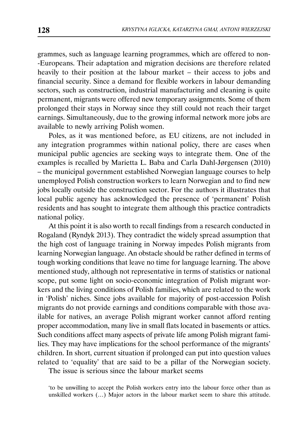grammes, such as language learning programmes, which are offered to non- -Europeans. Their adaptation and migration decisions are therefore related heavily to their position at the labour market – their access to jobs and financial security. Since a demand for flexible workers in labour demanding sectors, such as construction, industrial manufacturing and cleaning is quite permanent, migrants were offered new temporary assignments. Some of them prolonged their stays in Norway since they still could not reach their target earnings. Simultaneously, due to the growing informal network more jobs are available to newly arriving Polish women.

Poles, as it was mentioned before, as EU citizens, are not included in any integration programmes within national policy, there are cases when municipal public agencies are seeking ways to integrate them. One of the examples is recalled by Marietta L. Baba and Carla Dahl-Jørgensen (2010) – the municipal government established Norwegian language courses to help unemployed Polish construction workers to learn Norwegian and to find new jobs locally outside the construction sector. For the authors it illustrates that local public agency has acknowledged the presence of 'permanent' Polish residents and has sought to integrate them although this practice contradicts national policy.

At this point it is also worth to recall findings from a research conducted in Rogaland (Ryndyk 2013). They contradict the widely spread assumption that the high cost of language training in Norway impedes Polish migrants from learning Norwegian language. An obstacle should be rather defined in terms of tough working conditions that leave no time for language learning. The above mentioned study, although not representative in terms of statistics or national scope, put some light on socio-economic integration of Polish migrant workers and the living conditions of Polish families, which are related to the work in 'Polish' niches. Since jobs available for majority of post-accession Polish migrants do not provide earnings and conditions comparable with those available for natives, an average Polish migrant worker cannot afford renting proper accommodation, many live in small flats located in basements or attics. Such conditions affect many aspects of private life among Polish migrant families. They may have implications for the school performance of the migrants' children. In short, current situation if prolonged can put into question values related to 'equality' that are said to be a pillar of the Norwegian society. The issue is serious since the labour market seems

'to be unwilling to accept the Polish workers entry into the labour force other than as unskilled workers (…) Major actors in the labour market seem to share this attitude.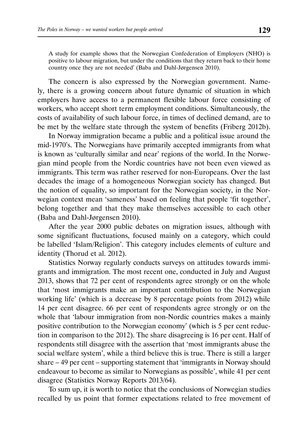A study for example shows that the Norwegian Confederation of Employers (NHO) is positive to labour migration, but under the conditions that they return back to their home country once they are not needed' (Baba and Dahl-Jørgensen 2010).

The concern is also expressed by the Norwegian government. Namely, there is a growing concern about future dynamic of situation in which employers have access to a permanent flexible labour force consisting of workers, who accept short term employment conditions. Simultaneously, the costs of availability of such labour force, in times of declined demand, are to be met by the welfare state through the system of benefits (Friberg 2012b).

In Norway immigration became a public and a political issue around the mid-1970's. The Norwegians have primarily accepted immigrants from what is known as 'culturally similar and near' regions of the world. In the Norwegian mind people from the Nordic countries have not been even viewed as immigrants. This term was rather reserved for non-Europeans. Over the last decades the image of a homogeneous Norwegian society has changed. But the notion of equality, so important for the Norwegian society, in the Norwegian context mean 'sameness' based on feeling that people 'fit together', belong together and that they make themselves accessible to each other (Baba and Dahl-Jørgensen 2010).

After the year 2000 public debates on migration issues, although with some significant fluctuations, focused mainly on a category, which could be labelled 'Islam/Religion'. This category includes elements of culture and identity (Thorud et al. 2012).

Statistics Norway regularly conducts surveys on attitudes towards immigrants and immigration. The most recent one, conducted in July and August 2013, shows that 72 per cent of respondents agree strongly or on the whole that 'most immigrants make an important contribution to the Norwegian working life' (which is a decrease by 8 percentage points from 2012) while 14 per cent disagree. 66 per cent of respondents agree strongly or on the whole that 'labour immigration from non-Nordic countries makes a mainly positive contribution to the Norwegian economy' (which is 5 per cent reduction in comparison to the 2012). The share disagreeing is 16 per cent. Half of respondents still disagree with the assertion that 'most immigrants abuse the social welfare system', while a third believe this is true. There is still a larger share – 49 per cent – supporting statement that 'immigrants in Norway should endeavour to become as similar to Norwegians as possible', while 41 per cent disagree (Statistics Norway Reports 2013/64).

To sum up, it is worth to notice that the conclusions of Norwegian studies recalled by us point that former expectations related to free movement of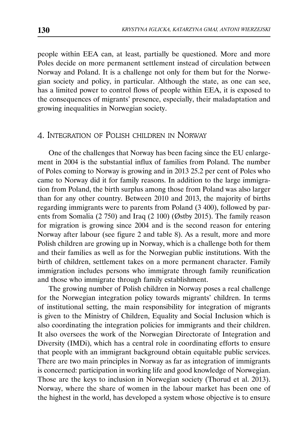people within EEA can, at least, partially be questioned. More and more Poles decide on more permanent settlement instead of circulation between Norway and Poland. It is a challenge not only for them but for the Norwegian society and policy, in particular. Although the state, as one can see, has a limited power to control flows of people within EEA, it is exposed to the consequences of migrants' presence, especially, their maladaptation and growing inequalities in Norwegian society.

## 4. INTEGRATION OF POLISH CHILDREN IN NORWAY

One of the challenges that Norway has been facing since the EU enlargement in 2004 is the substantial influx of families from Poland. The number of Poles coming to Norway is growing and in 2013 25.2 per cent of Poles who came to Norway did it for family reasons. In addition to the large immigration from Poland, the birth surplus among those from Poland was also larger than for any other country. Between 2010 and 2013, the majority of births regarding immigrants were to parents from Poland (3 400), followed by parents from Somalia (2 750) and Iraq (2 100) (Østby 2015). The family reason for migration is growing since 2004 and is the second reason for entering Norway after labour (see figure 2 and table 8). As a result, more and more Polish children are growing up in Norway, which is a challenge both for them and their families as well as for the Norwegian public institutions. With the birth of children, settlement takes on a more permanent character. Family immigration includes persons who immigrate through family reunification and those who immigrate through family establishment.

The growing number of Polish children in Norway poses a real challenge for the Norwegian integration policy towards migrants' children. In terms of institutional setting, the main responsibility for integration of migrants is given to the Ministry of Children, Equality and Social Inclusion which is also coordinating the integration policies for immigrants and their children. It also oversees the work of the Norwegian Directorate of Integration and Diversity (IMDi), which has a central role in coordinating efforts to ensure that people with an immigrant background obtain equitable public services. There are two main principles in Norway as far as integration of immigrants is concerned: participation in working life and good knowledge of Norwegian. Those are the keys to inclusion in Norwegian society (Thorud et al. 2013). Norway, where the share of women in the labour market has been one of the highest in the world, has developed a system whose objective is to ensure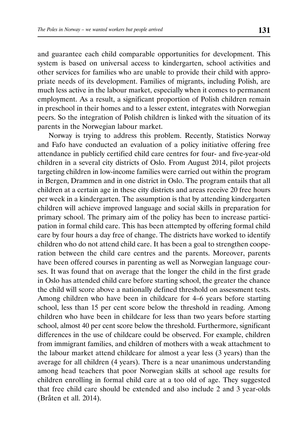and guarantee each child comparable opportunities for development. This system is based on universal access to kindergarten, school activities and other services for families who are unable to provide their child with appropriate needs of its development. Families of migrants, including Polish, are much less active in the labour market, especially when it comes to permanent employment. As a result, a significant proportion of Polish children remain in preschool in their homes and to a lesser extent, integrates with Norwegian peers. So the integration of Polish children is linked with the situation of its parents in the Norwegian labour market.

Norway is trying to address this problem. Recently, Statistics Norway and Fafo have conducted an evaluation of a policy initiative offering free attendance in publicly certified child care centres for four- and five-year-old children in a several city districts of Oslo. From August 2014, pilot projects targeting children in low-income families were carried out within the program in Bergen, Drammen and in one district in Oslo. The program entails that all children at a certain age in these city districts and areas receive 20 free hours per week in a kindergarten. The assumption is that by attending kindergarten children will achieve improved language and social skills in preparation for primary school. The primary aim of the policy has been to increase participation in formal child care. This has been attempted by offering formal child care by four hours a day free of change. The districts have worked to identify children who do not attend child care. It has been a goal to strengthen cooperation between the child care centres and the parents. Moreover, parents have been offered courses in parenting as well as Norwegian language courses. It was found that on average that the longer the child in the first grade in Oslo has attended child care before starting school, the greater the chance the child will score above a nationally defined threshold on assessment tests. Among children who have been in childcare for 4–6 years before starting school, less than 15 per cent score below the threshold in reading. Among children who have been in childcare for less than two years before starting school, almost 40 per cent score below the threshold. Furthermore, significant differences in the use of childcare could be observed. For example, children from immigrant families, and children of mothers with a weak attachment to the labour market attend childcare for almost a year less (3 years) than the average for all children (4 years). There is a near unanimous understanding among head teachers that poor Norwegian skills at school age results for children enrolling in formal child care at a too old of age. They suggested that free child care should be extended and also include 2 and 3 year-olds (Bråten et all. 2014).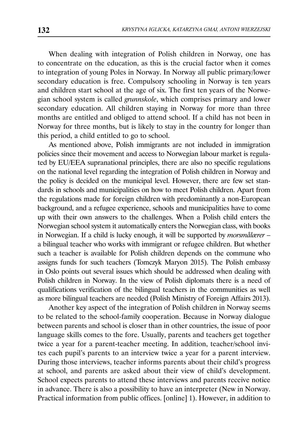When dealing with integration of Polish children in Norway, one has to concentrate on the education, as this is the crucial factor when it comes to integration of young Poles in Norway. In Norway all public primary/lower secondary education is free. Compulsory schooling in Norway is ten years and children start school at the age of six. The first ten years of the Norwegian school system is called *grunnskole*, which comprises primary and lower secondary education. All children staying in Norway for more than three months are entitled and obliged to attend school. If a child has not been in Norway for three months, but is likely to stay in the country for longer than this period, a child entitled to go to school.

As mentioned above, Polish immigrants are not included in immigration policies since their movement and access to Norwegian labour market is regulated by EU/EEA supranational principles, there are also no specific regulations on the national level regarding the integration of Polish children in Norway and the policy is decided on the municipal level. However, there are few set standards in schools and municipalities on how to meet Polish children. Apart from the regulations made for foreign children with predominantly a non-European background, and a refugee experience, schools and municipalities have to come up with their own answers to the challenges. When a Polish child enters the Norwegian school system it automatically enters the Norwegian class, with books in Norwegian. If a child is lucky enough, it will be supported by *morsmålærer* – a bilingual teacher who works with immigrant or refugee children. But whether such a teacher is available for Polish children depends on the commune who assigns funds for such teachers (Tomczyk Maryon 2015). The Polish embassy in Oslo points out several issues which should be addressed when dealing with Polish children in Norway. In the view of Polish diplomats there is a need of qualifications verification of the bilingual teachers in the communities as well as more bilingual teachers are needed (Polish Ministry of Foreign Affairs 2013).

Another key aspect of the integration of Polish children in Norway seems to be related to the school-family cooperation. Because in Norway dialogue between parents and school is closer than in other countries, the issue of poor language skills comes to the fore. Usually, parents and teachers get together twice a year for a parent-teacher meeting. In addition, teacher/school invites each pupil's parents to an interview twice a year for a parent interview. During those interviews, teacher informs parents about their child's progress at school, and parents are asked about their view of child's development. School expects parents to attend these interviews and parents receive notice in advance. There is also a possibility to have an interpreter (New in Norway. Practical information from public offices. [online] 1). However, in addition to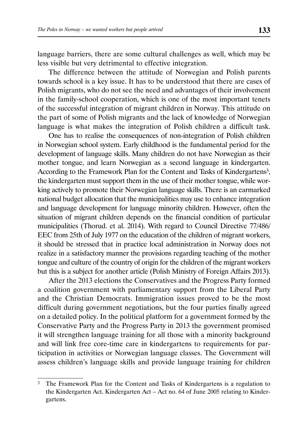language barriers, there are some cultural challenges as well, which may be less visible but very detrimental to effective integration.

The difference between the attitude of Norwegian and Polish parents towards school is a key issue. It has to be understood that there are cases of Polish migrants, who do not see the need and advantages of their involvement in the family-school cooperation, which is one of the most important tenets of the successful integration of migrant children in Norway. This attitude on the part of some of Polish migrants and the lack of knowledge of Norwegian language is what makes the integration of Polish children a difficult task.

One has to realise the consequences of non-integration of Polish children in Norwegian school system. Early childhood is the fundamental period for the development of language skills. Many children do not have Norwegian as their mother tongue, and learn Norwegian as a second language in kindergarten. According to the Framework Plan for the Content and Tasks of Kindergartens<sup>3</sup>, the kindergarten must support them in the use of their mother tongue, while working actively to promote their Norwegian language skills. There is an earmarked national budget allocation that the municipalities may use to enhance integration and language development for language minority children. However, often the situation of migrant children depends on the financial condition of particular municipalities (Thorud. et al. 2014). With regard to Council Directive 77/486/ EEC from 25th of July 1977 on the education of the children of migrant workers, it should be stressed that in practice local administration in Norway does not realize in a satisfactory manner the provisions regarding teaching of the mother tongue and culture of the country of origin for the children of the migrant workers but this is a subject for another article (Polish Ministry of Foreign Affairs 2013).

After the 2013 elections the Conservatives and the Progress Party formed a coalition government with parliamentary support from the Liberal Party and the Christian Democrats. Immigration issues proved to be the most difficult during government negotiations, but the four parties finally agreed on a detailed policy. In the political platform for a government formed by the Conservative Party and the Progress Party in 2013 the government promised it will strengthen language training for all those with a minority background and will link free core-time care in kindergartens to requirements for participation in activities or Norwegian language classes. The Government will assess children's language skills and provide language training for children

<sup>&</sup>lt;sup>3</sup> The Framework Plan for the Content and Tasks of Kindergartens is a regulation to the Kindergarten Act. Kindergarten Act – Act no. 64 of June 2005 relating to Kindergartens.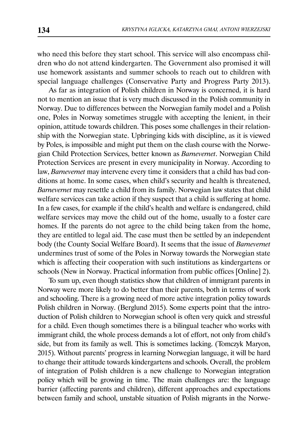who need this before they start school. This service will also encompass children who do not attend kindergarten. The Government also promised it will use homework assistants and summer schools to reach out to children with special language challenges (Conservative Party and Progress Party 2013).

As far as integration of Polish children in Norway is concerned, it is hard not to mention an issue that is very much discussed in the Polish community in Norway. Due to differences between the Norwegian family model and a Polish one, Poles in Norway sometimes struggle with accepting the lenient, in their opinion, attitude towards children. This poses some challenges in their relationship with the Norwegian state. Upbringing kids with discipline, as it is viewed by Poles, is impossible and might put them on the clash course with the Norwegian Child Protection Services, better known as *Barnevernet*. Norwegian Child Protection Services are present in every municipality in Norway. According to law, *Barnevernet* may intervene every time it considers that a child has bad conditions at home. In some cases, when child's security and health is threatened, *Barnevernet* may resettle a child from its family. Norwegian law states that child welfare services can take action if they suspect that a child is suffering at home. In a few cases, for example if the child's health and welfare is endangered, child welfare services may move the child out of the home, usually to a foster care homes. If the parents do not agree to the child being taken from the home, they are entitled to legal aid. The case must then be settled by an independent body (the County Social Welfare Board). It seems that the issue of *Barnevernet* undermines trust of some of the Poles in Norway towards the Norwegian state which is affecting their cooperation with such institutions as kindergartens or schools (New in Norway. Practical information from public offices [Online] 2).

To sum up, even though statistics show that children of immigrant parents in Norway were more likely to do better than their parents, both in terms of work and schooling. There is a growing need of more active integration policy towards Polish children in Norway. (Berglund 2015). Some experts point that the introduction of Polish children to Norwegian school is often very quick and stressful for a child. Even though sometimes there is a bilingual teacher who works with immigrant child, the whole process demands a lot of effort, not only from child's side, but from its family as well. This is sometimes lacking. (Tomczyk Maryon, 2015). Without parents' progress in learning Norwegian language, it will be hard to change their attitude towards kindergartens and schools. Overall, the problem of integration of Polish children is a new challenge to Norwegian integration policy which will be growing in time. The main challenges are: the language barrier (affecting parents and children), different approaches and expectations between family and school, unstable situation of Polish migrants in the Norwe-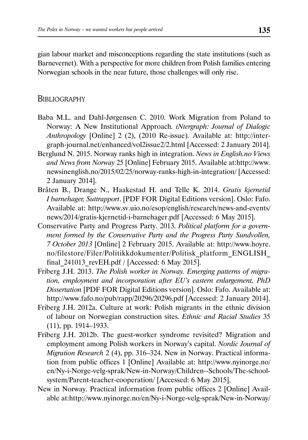gian labour market and misconceptions regarding the state institutions (such as Barnevernet). With a perspective for more children from Polish families entering Norwegian schools in the near future, those challenges will only rise.

## **BIBLIOGRAPHY**

- Baba M.L. and Dahl-Jørgensen C. 2010. Work Migration from Poland to Norway: A New Institutional Approach*. iNtergraph: Journal of Dialogic Anthropology* [Online] 2 (2), (2010 Re-issue). Available at: http://intergraph-journal.net/enhanced/vol2issue2/2.html [Accessed: 2 January 2014].
- Berglund N. 2015. Norway ranks high in integration. *News in English.no Views and News from Norway* 25 [Online] February 2015. Available at:http://www. newsinenglish.no/2015/02/25/norway-ranks-high-in-integration/ [Accessed: 2 January 2014].
- Bråten B., Drange N., Haakestad H. and Telle K. 2014. *Gratis kjernetid I barnehager, Suttrapport*. [PDF FOR Digital Editions version]. Oslo: Fafo. Available at: http://www.sv.uio.no/esop/english/research/news-and-events/ news/2014/gratis-kjernetid-i-barnehager.pdf [Accessed: 6 May 2015].
- Conservative Party and Progress Party. 2013. *Political platform for a government formed by the Conservative Party and the Progress Party Sundvollen, 7 October 2013* [Online] 2 February 2015. Available at: http://www.hoyre. no/filestore/Filer/Politikkdokumenter/Politisk\_platform\_ENGLISH\_ final\_241013\_revEH.pdf / [Accessed: 6 May 2015].
- Friberg J.H. 2013. *The Polish worker in Norway. Emerging patterns of migration, employment and incorporation after EU's eastern enlargement, PhD Dissertation* [PDF FOR Digital Editions version]. Oslo: Fafo. Available at: http://www.fafo.no/pub/rapp/20296/20296.pdf [Accessed: 2 January 2014].
- Friberg J.H. 2012a. Culture at work: Polish migrants in the ethnic division of labour on Norwegian construction sites. *Ethnic and Racial Studies* 35  $(11)$ , pp. 1914–1933.
- Friberg J.H. 2012b. The guest-worker syndrome revisited? Migration and employment among Polish workers in Norway's capital. *Nordic Journal of Migration Research* 2 (4), pp. 316–324. New in Norway. Practical information from public offices 1 [Online] Available at: http://www.nyinorge.no/ en/Ny-i-Norge-velg-sprak/New-in-Norway/Children--Schools/The-schoolsystem/Parent-teacher-cooperation/ [Accessed: 6 May 2015].
- New in Norway. Practical information from public offices 2 [Online] Available at:http://www.nyinorge.no/en/Ny-i-Norge-velg-sprak/New-in-Norway/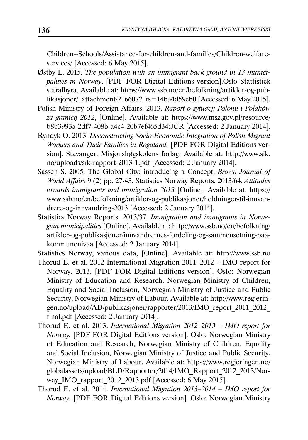Children--Schools/Assistance-for-children-and-families/Children-welfareservices/ [Accessed: 6 May 2015].

- Østby L. 2015. *The population with an immigrant back ground in 13 municipalities in Norway*. [PDF FOR Digital Editions version].Oslo Stattistick setralbyra. Available at: https://www.ssb.no/en/befolkning/artikler-og-publikasjoner/ attachment/216607? ts=14b34d59eb0 [Accessed: 6 May 2015].
- Polish Ministry of Foreign Affairs. 2013. *Raport o sytuacji Polonii i Polaków za granicą 2012*, [Online]. Available at: https://www.msz.gov.pl/resource/ b8b3993a-2df7-408b-a4c4-20b7ef465d34:JCR [Accessed: 2 January 2014].
- Ryndyk O. 2013. *Deconstructing Socio-Economic Integration of Polish Migrant Workers and Their Families in Rogaland.* [PDF FOR Digital Editions version]. Stavanger: Misjonshøgskolens forlag. Available at: http://www.sik. no/uploads/sik-rapport-2013-1.pdf [Accessed: 2 January 2014].
- Sassen S. 2005. The Global City: introducing a Concept. *Brown Journal of World Affairs* 9 (2) pp. 27-43. Statistics Norway Reports. 2013/64. *Attitudes towards immigrants and immigration 2013* [Online]. Available at: https:// www.ssb.no/en/befolkning/artikler-og-publikasjoner/holdninger-til-innvandrere-og-innvandring-2013 [Accessed: 2 January 2014].
- Statistics Norway Reports. 2013/37. *Immigration and immigrants in Norwegian municipalities* [Online]. Available at: http://www.ssb.no/en/befolkning/ artikler-og-publikasjoner/innvandrernes-fordeling-og-sammensetning-paakommunenivaa [Accessed: 2 January 2014].
- Statistics Norway, various data, [Online]. Available at: http://www.ssb.no
- Thorud E. et al. 2012 International Migration 2011–2012 IMO report for Norway. 2013. [PDF FOR Digital Editions version]. Oslo: Norwegian Ministry of Education and Research, Norwegian Ministry of Children, Equality and Social Inclusion, Norwegian Ministry of Justice and Public Security, Norwegian Ministry of Labour. Available at: http://www.regjeringen.no/upload/AD/publikasjoner/rapporter/2013/IMO\_report\_2011\_2012\_ final.pdf [Accessed: 2 January 2014].
- Thorud E. et al. 2013. *International Migration 2012–2013 IMO report for Norway.* [PDF FOR Digital Editions version]. Oslo: Norwegian Ministry of Education and Research, Norwegian Ministry of Children, Equality and Social Inclusion, Norwegian Ministry of Justice and Public Security, Norwegian Ministry of Labour. Available at: https://www.regjeringen.no/ globalassets/upload/BLD/Rapporter/2014/IMO\_Rapport\_2012\_2013/Norway IMO rapport 2012 2013.pdf [Accessed: 6 May 2015].
- Thorud E. et al. 2014. *International Migration 2013–2014 IMO report for Norway*. [PDF FOR Digital Editions version]. Oslo: Norwegian Ministry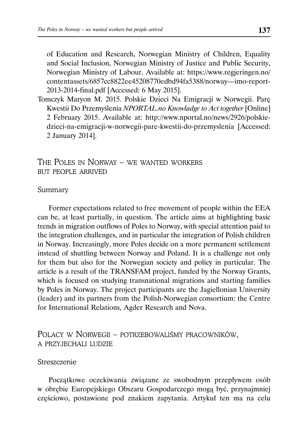of Education and Research, Norwegian Ministry of Children, Equality and Social Inclusion, Norwegian Ministry of Justice and Public Security, Norwegian Ministry of Labour. Available at: https://www.regjeringen.no/ contentassets/6857cc8822ee45208770edbd94fa5388/norway---imo-report-2013-2014-final.pdf [Accessed: 6 May 2015].

Tomczyk Maryon M. 2015. Polskie Dzieci Na Emigracji w Norwegii. Parę Kwestii Do Przemyślenia *NPORTAL.no Knowladge to Act together* [Online] 2 February 2015. Available at: http://www.nportal.no/news/2926/polskiedzieci-na-emigracji-w-norwegii-pare-kwestii-do-przemyslenia [Accessed: 2 January 2014].

THE POLES IN NORWAY – WE WANTED WORKERS BUT PEOPLE ARRIVED

### Summary

Former expectations related to free movement of people within the EEA can be, at least partially, in question. The article aims at highlighting basic trends in migration outflows of Poles to Norway, with special attention paid to the integration challenges, and in particular the integration of Polish children in Norway. Increasingly, more Poles decide on a more permanent settlement instead of shuttling between Norway and Poland. It is a challenge not only for them but also for the Norwegian society and policy in particular. The article is a result of the TRANSFAM project, funded by the Norway Grants, which is focused on studying transnational migrations and starting families by Poles in Norway. The project participants are the Jagiellonian University (leader) and its partners from the Polish-Norwegian consortium: the Centre for International Relations, Agder Research and Nova.

## POLACY W NORWEGII – POTRZEBOWALIŚMY PRACOWNIKÓW, A PRZYJECHALI LUDZIE

### Streszczenie

Początkowe oczekiwania związane ze swobodnym przepływem osób w obrębie Europejskiego Obszaru Gospodarczego mogą być, przynajmniej częściowo, postawione pod znakiem zapytania. Artykuł ten ma na celu